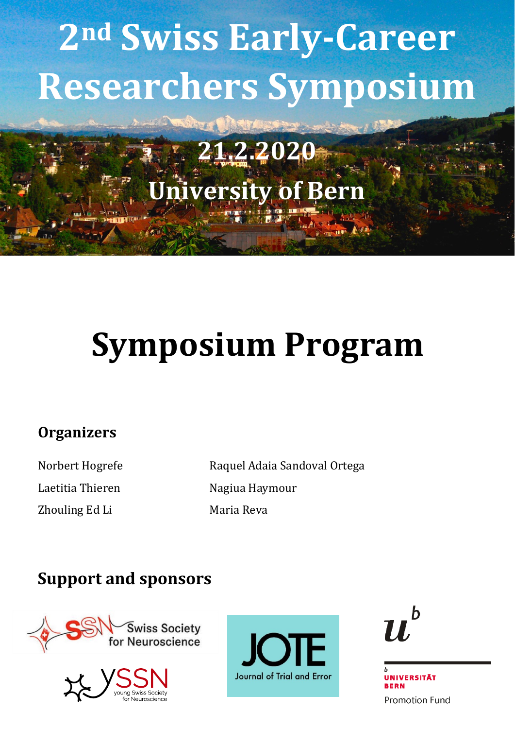# 2nd Swiss Early-Career Researchers Symposium

### 21.2.2020 **Jniversity of Bern**

## **Symposium Program**

#### **Organizers**

Norbert Hogrefe Laetitia Thieren Zhouling Ed Li

Raquel Adaia Sandoval Ortega Nagiua Haymour Maria Reva

#### **Support and sponsors**









**UNIVERSITÄT RERN Promotion Fund**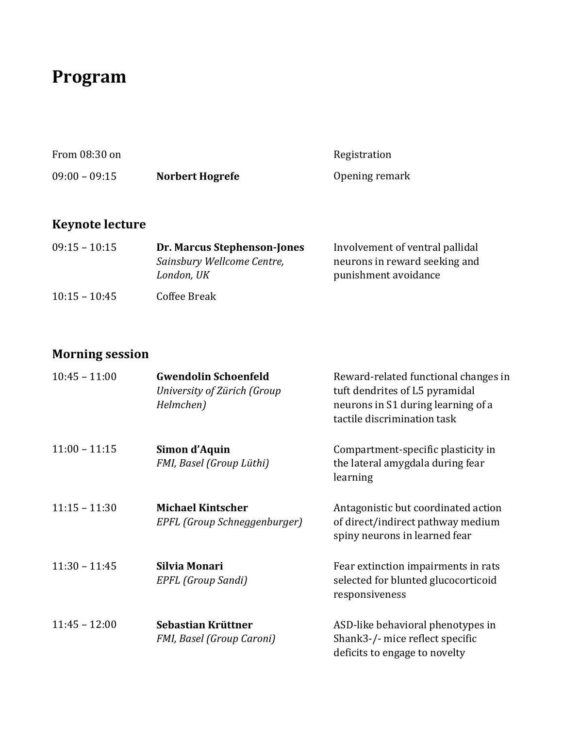#### **Program**

| From 08:30 on   |                 | Registration   |
|-----------------|-----------------|----------------|
| $09:00 - 09:15$ | Norbert Hogrefe | Opening remark |

#### **Keynote lecture**

| $09:15 - 10:15$ | <b>Dr. Marcus Stephenson-Jones</b> | Involvement of ventral pallidal |
|-----------------|------------------------------------|---------------------------------|
|                 | Sainsbury Wellcome Centre,         | neurons in reward seeking and   |
|                 | London, UK                         | punishment avoidance            |
| $10:15 - 10:45$ | Coffee Break                       |                                 |

#### **Morning session**

| $10:45 - 11:00$ | <b>Gwendolin Schoenfeld</b><br>University of Zürich (Group<br>Helmchen) | Reward-related functional changes in<br>tuft dendrites of L5 pyramidal<br>neurons in S1 during learning of a<br>tactile discrimination task |
|-----------------|-------------------------------------------------------------------------|---------------------------------------------------------------------------------------------------------------------------------------------|
| $11:00 - 11:15$ | Simon d'Aquin<br>FMI, Basel (Group Lüthi)                               | Compartment-specific plasticity in<br>the lateral amygdala during fear<br>learning                                                          |
| $11:15 - 11:30$ | <b>Michael Kintscher</b><br>EPFL (Group Schneggenburger)                | Antagonistic but coordinated action<br>of direct/indirect pathway medium<br>spiny neurons in learned fear                                   |
| $11:30 - 11:45$ | Silvia Monari<br>EPFL (Group Sandi)                                     | Fear extinction impairments in rats<br>selected for blunted glucocorticoid<br>responsiveness                                                |
| $11:45 - 12:00$ | Sebastian Krüttner<br>FMI, Basel (Group Caroni)                         | ASD-like behavioral phenotypes in<br>Shank3-/- mice reflect specific<br>deficits to engage to novelty                                       |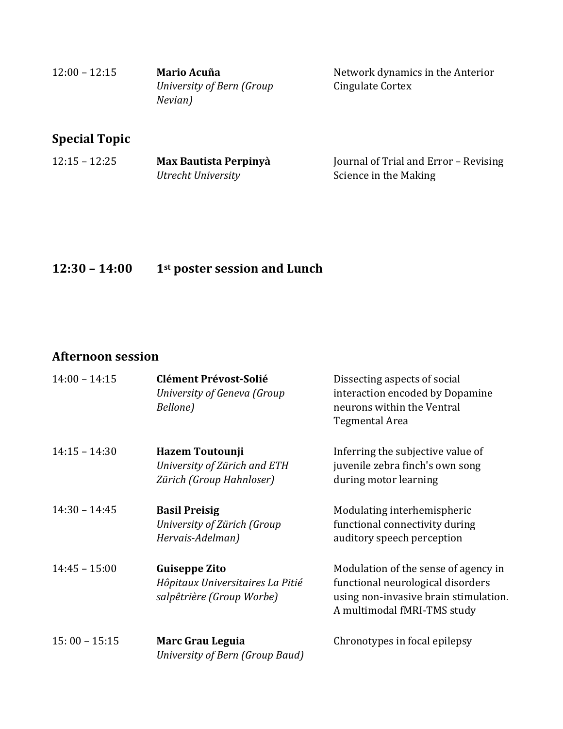| $12:00 - 12:15$ | Mario Acuña               |
|-----------------|---------------------------|
|                 | University of Bern (Group |
|                 | Nevian)                   |

Network dynamics in the Anterior Cingulate Cortex

#### **Special Topic**

| $12:15 - 12:25$ | Max Bautista Perpinyà | Journal of Trial and Error - Revising |
|-----------------|-----------------------|---------------------------------------|
|                 | Utrecht University    | Science in the Making                 |

#### **12:30 – 14:00 1st poster session and Lunch**

#### **Afternoon session**

| $14:00 - 14:15$ | <b>Clément Prévost-Solié</b><br>University of Geneva (Group<br>Bellone)               | Dissecting aspects of social<br>interaction encoded by Dopamine<br>neurons within the Ventral<br>Tegmental Area                                   |
|-----------------|---------------------------------------------------------------------------------------|---------------------------------------------------------------------------------------------------------------------------------------------------|
| $14:15 - 14:30$ | <b>Hazem Toutounji</b><br>University of Zürich and ETH<br>Zürich (Group Hahnloser)    | Inferring the subjective value of<br>juvenile zebra finch's own song<br>during motor learning                                                     |
| $14:30 - 14:45$ | <b>Basil Preisig</b><br>University of Zürich (Group<br>Hervais-Adelman)               | Modulating interhemispheric<br>functional connectivity during<br>auditory speech perception                                                       |
| $14:45 - 15:00$ | <b>Guiseppe Zito</b><br>Hôpitaux Universitaires La Pitié<br>salpêtrière (Group Worbe) | Modulation of the sense of agency in<br>functional neurological disorders<br>using non-invasive brain stimulation.<br>A multimodal fMRI-TMS study |
| $15:00 - 15:15$ | Marc Grau Leguia<br>University of Bern (Group Baud)                                   | Chronotypes in focal epilepsy                                                                                                                     |